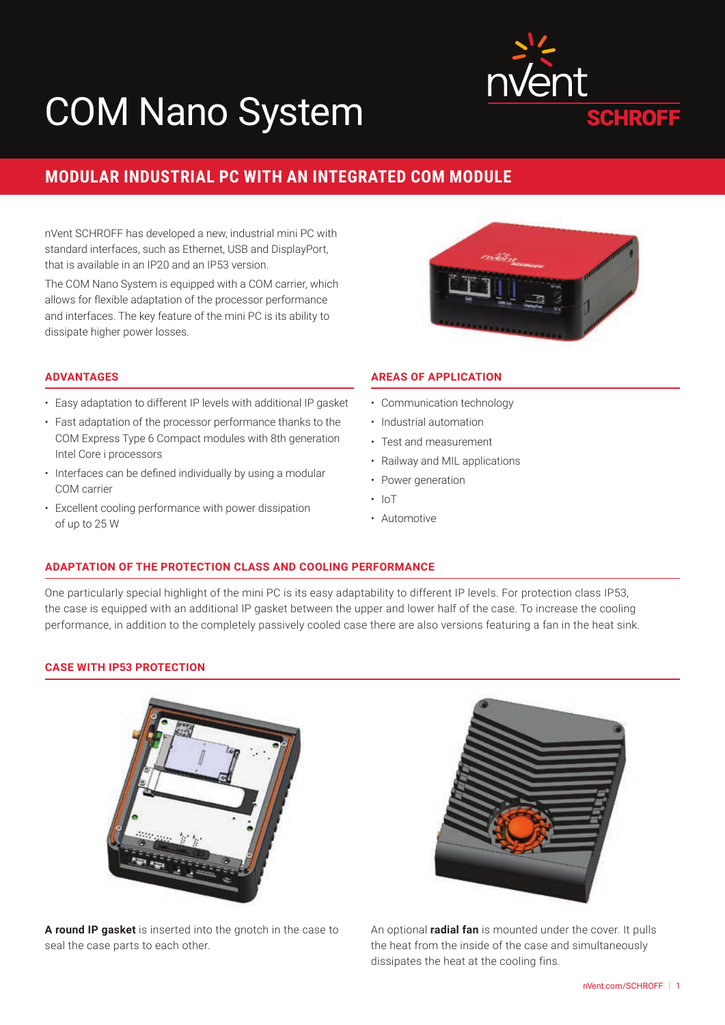# COM Nano System



# **MODULAR INDUSTRIAL PC WITH AN INTEGRATED COM MODULE**

nVent SCHROFF has developed a new, industrial mini PC with standard interfaces, such as Ethernet, USB and DisplayPort, that is available in an IP20 and an IP53 version.

The COM Nano System is equipped with a COM carrier, which allows for flexible adaptation of the processor performance and interfaces. The key feature of the mini PC is its ability to dissipate higher power losses.



# **ADVANTAGES**

- Easy adaptation to different IP levels with additional IP gasket
- Fast adaptation of the processor performance thanks to the COM Express Type 6 Compact modules with 8th generation Intel Core i processors
- Interfaces can be defined individually by using a modular COM carrier
- Excellent cooling performance with power dissipation of up to 25 W

# **AREAS OF APPLICATION**

- Communication technology
- Industrial automation
- Test and measurement
- Railway and MIL applications
- Power generation
- IoT
- Automotive

# **ADAPTATION OF THE PROTECTION CLASS AND COOLING PERFORMANCE**

One particularly special highlight of the mini PC is its easy adaptability to different IP levels. For protection class IP53, the case is equipped with an additional IP gasket between the upper and lower half of the case. To increase the cooling performance, in addition to the completely passively cooled case there are also versions featuring a fan in the heat sink.

#### **CASE WITH IP53 PROTECTION**



**A round IP gasket** is inserted into the gnotch in the case to seal the case parts to each other.



An optional **radial fan** is mounted under the cover. It pulls the heat from the inside of the case and simultaneously dissipates the heat at the cooling fins.